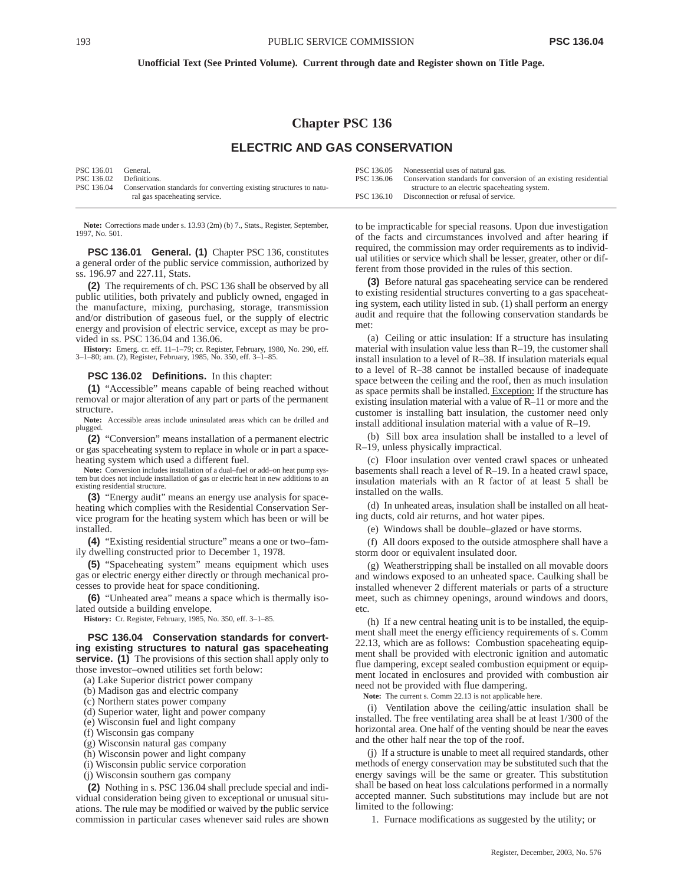#### **Unofficial Text (See Printed Volume). Current through date and Register shown on Title Page.**

# **Chapter PSC 136**

## **ELECTRIC AND GAS CONSERVATION**

| PSC 136.01<br>PSC 136.02 Definitions. | General.                                                                                            |            | PSC 136.05 Nonessential uses of natural gas.<br>PSC 136.06 Conservation standards for conversion of an existing residential |
|---------------------------------------|-----------------------------------------------------------------------------------------------------|------------|-----------------------------------------------------------------------------------------------------------------------------|
| PSC 136.04                            | Conservation standards for converting existing structures to natu-<br>ral gas spaceheating service. | PSC 136.10 | structure to an electric spaceheating system.<br>Disconnection or refusal of service.                                       |

**Note:** Corrections made under s. 13.93 (2m) (b) 7., Stats., Register, September, 1997, No. 501.

**PSC 136.01 General. (1)** Chapter PSC 136, constitutes a general order of the public service commission, authorized by ss. 196.97 and 227.11, Stats.

**(2)** The requirements of ch. PSC 136 shall be observed by all public utilities, both privately and publicly owned, engaged in the manufacture, mixing, purchasing, storage, transmission and/or distribution of gaseous fuel, or the supply of electric energy and provision of electric service, except as may be provided in ss. PSC 136.04 and 136.06.

**History:** Emerg. cr. eff. 11–1–79; cr. Register, February, 1980, No. 290, eff. 3–1–80; am. (2), Register, February, 1985, No. 350, eff. 3–1–85.

#### **PSC 136.02 Definitions.** In this chapter:

**(1)** "Accessible" means capable of being reached without removal or major alteration of any part or parts of the permanent structure.

**Note:** Accessible areas include uninsulated areas which can be drilled and plugged.

**(2)** "Conversion" means installation of a permanent electric or gas spaceheating system to replace in whole or in part a spaceheating system which used a different fuel.

**Note:** Conversion includes installation of a dual–fuel or add–on heat pump system but does not include installation of gas or electric heat in new additions to an existing residential structure.

**(3)** "Energy audit" means an energy use analysis for spaceheating which complies with the Residential Conservation Service program for the heating system which has been or will be installed.

**(4)** "Existing residential structure" means a one or two–family dwelling constructed prior to December 1, 1978.

**(5)** "Spaceheating system" means equipment which uses gas or electric energy either directly or through mechanical processes to provide heat for space conditioning.

**(6)** "Unheated area" means a space which is thermally isolated outside a building envelope.

**History:** Cr. Register, February, 1985, No. 350, eff. 3–1–85.

**PSC 136.04 Conservation standards for converting existing structures to natural gas spaceheating service.** (1) The provisions of this section shall apply only to those investor–owned utilities set forth below:

(a) Lake Superior district power company

(b) Madison gas and electric company

(c) Northern states power company

(d) Superior water, light and power company

(e) Wisconsin fuel and light company

(f) Wisconsin gas company

(g) Wisconsin natural gas company

(h) Wisconsin power and light company

(i) Wisconsin public service corporation

(j) Wisconsin southern gas company

**(2)** Nothing in s. PSC 136.04 shall preclude special and individual consideration being given to exceptional or unusual situations. The rule may be modified or waived by the public service commission in particular cases whenever said rules are shown

to be impracticable for special reasons. Upon due investigation of the facts and circumstances involved and after hearing if required, the commission may order requirements as to individual utilities or service which shall be lesser, greater, other or different from those provided in the rules of this section.

**(3)** Before natural gas spaceheating service can be rendered to existing residential structures converting to a gas spaceheating system, each utility listed in sub. (1) shall perform an energy audit and require that the following conservation standards be met:

(a) Ceiling or attic insulation: If a structure has insulating material with insulation value less than R–19, the customer shall install insulation to a level of R–38. If insulation materials equal to a level of R–38 cannot be installed because of inadequate space between the ceiling and the roof, then as much insulation as space permits shall be installed. Exception: If the structure has existing insulation material with a value of R–11 or more and the customer is installing batt insulation, the customer need only install additional insulation material with a value of R–19.

(b) Sill box area insulation shall be installed to a level of R–19, unless physically impractical.

(c) Floor insulation over vented crawl spaces or unheated basements shall reach a level of R–19. In a heated crawl space, insulation materials with an R factor of at least 5 shall be installed on the walls.

(d) In unheated areas, insulation shall be installed on all heating ducts, cold air returns, and hot water pipes.

(e) Windows shall be double–glazed or have storms.

(f) All doors exposed to the outside atmosphere shall have a storm door or equivalent insulated door.

(g) Weatherstripping shall be installed on all movable doors and windows exposed to an unheated space. Caulking shall be installed whenever 2 different materials or parts of a structure meet, such as chimney openings, around windows and doors, etc.

(h) If a new central heating unit is to be installed, the equipment shall meet the energy efficiency requirements of s. Comm 22.13, which are as follows: Combustion spaceheating equipment shall be provided with electronic ignition and automatic flue dampering, except sealed combustion equipment or equipment located in enclosures and provided with combustion air need not be provided with flue dampering.

**Note:** The current s. Comm 22.13 is not applicable here.

(i) Ventilation above the ceiling/attic insulation shall be installed. The free ventilating area shall be at least 1/300 of the horizontal area. One half of the venting should be near the eaves and the other half near the top of the roof.

(j) If a structure is unable to meet all required standards, other methods of energy conservation may be substituted such that the energy savings will be the same or greater. This substitution shall be based on heat loss calculations performed in a normally accepted manner. Such substitutions may include but are not limited to the following:

1. Furnace modifications as suggested by the utility; or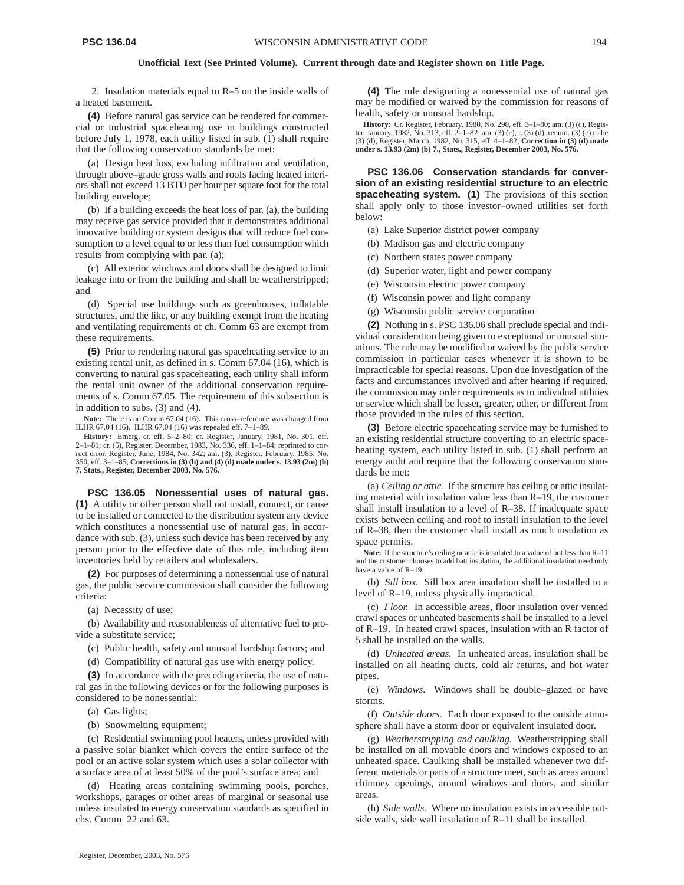#### **Unofficial Text (See Printed Volume). Current through date and Register shown on Title Page.**

2. Insulation materials equal to R–5 on the inside walls of a heated basement.

**(4)** Before natural gas service can be rendered for commercial or industrial spaceheating use in buildings constructed before July 1, 1978, each utility listed in sub. (1) shall require that the following conservation standards be met:

(a) Design heat loss, excluding infiltration and ventilation, through above–grade gross walls and roofs facing heated interiors shall not exceed 13 BTU per hour per square foot for the total building envelope;

(b) If a building exceeds the heat loss of par. (a), the building may receive gas service provided that it demonstrates additional innovative building or system designs that will reduce fuel consumption to a level equal to or less than fuel consumption which results from complying with par. (a);

(c) All exterior windows and doors shall be designed to limit leakage into or from the building and shall be weatherstripped; and

(d) Special use buildings such as greenhouses, inflatable structures, and the like, or any building exempt from the heating and ventilating requirements of ch. Comm 63 are exempt from these requirements.

**(5)** Prior to rendering natural gas spaceheating service to an existing rental unit, as defined in s. Comm 67.04 (16), which is converting to natural gas spaceheating, each utility shall inform the rental unit owner of the additional conservation requirements of s. Comm 67.05. The requirement of this subsection is in addition to subs. (3) and (4).

Note: There is no Comm 67.04 (16). This cross-reference was changed from ILHR 67.04 (16). ILHR 67.04 (16) was repealed eff. 7–1–89.

**History:** Emerg. cr. eff. 5–2–80; cr. Register, January, 1981, No. 301, eff. 2–1–81; cr. (5), Register, December, 1983, No. 336, eff. 1–1–84; reprinted to correct error, Register, June, 1984, No. 342; am. (3), Register, February, 1985, No. 350, eff. 3–1–85; **Corrections in (3) (h) and (4) (d) made under s. 13.93 (2m) (b) 7, Stats., Register, December 2003, No. 576.**

**PSC 136.05 Nonessential uses of natural gas. (1)** A utility or other person shall not install, connect, or cause to be installed or connected to the distribution system any device which constitutes a nonessential use of natural gas, in accordance with sub. (3), unless such device has been received by any person prior to the effective date of this rule, including item inventories held by retailers and wholesalers.

**(2)** For purposes of determining a nonessential use of natural gas, the public service commission shall consider the following criteria:

(a) Necessity of use;

(b) Availability and reasonableness of alternative fuel to provide a substitute service;

(c) Public health, safety and unusual hardship factors; and

(d) Compatibility of natural gas use with energy policy.

**(3)** In accordance with the preceding criteria, the use of natural gas in the following devices or for the following purposes is considered to be nonessential:

(a) Gas lights;

(b) Snowmelting equipment;

(c) Residential swimming pool heaters, unless provided with a passive solar blanket which covers the entire surface of the pool or an active solar system which uses a solar collector with a surface area of at least 50% of the pool's surface area; and

(d) Heating areas containing swimming pools, porches, workshops, garages or other areas of marginal or seasonal use unless insulated to energy conservation standards as specified in chs. Comm 22 and 63.

**(4)** The rule designating a nonessential use of natural gas may be modified or waived by the commission for reasons of health, safety or unusual hardship.

**History:** Cr. Register, February, 1980, No. 290, eff. 3–1–80; am. (3) (c), Register, January, 1982, No. 313, eff. 2–1–82; am. (3) (c), r. (3) (d), renum. (3) (e) to be (3) (d), Register, March, 1982, No. 315, eff. 4–1–82; **Correction in (3) (d) made under s. 13.93 (2m) (b) 7., Stats., Register, December 2003, No. 576.**

**PSC 136.06 Conservation standards for conversion of an existing residential structure to an electric spaceheating system. (1)** The provisions of this section shall apply only to those investor–owned utilities set forth below:

- (a) Lake Superior district power company
- (b) Madison gas and electric company
- (c) Northern states power company
- (d) Superior water, light and power company
- (e) Wisconsin electric power company
- (f) Wisconsin power and light company
- (g) Wisconsin public service corporation

**(2)** Nothing in s. PSC 136.06 shall preclude special and individual consideration being given to exceptional or unusual situations. The rule may be modified or waived by the public service commission in particular cases whenever it is shown to be impracticable for special reasons. Upon due investigation of the facts and circumstances involved and after hearing if required, the commission may order requirements as to individual utilities or service which shall be lesser, greater, other, or different from those provided in the rules of this section.

**(3)** Before electric spaceheating service may be furnished to an existing residential structure converting to an electric spaceheating system, each utility listed in sub. (1) shall perform an energy audit and require that the following conservation standards be met:

(a) *Ceiling or attic.* If the structure has ceiling or attic insulating material with insulation value less than R–19, the customer shall install insulation to a level of R–38. If inadequate space exists between ceiling and roof to install insulation to the level of R–38, then the customer shall install as much insulation as space permits.

**Note:** If the structure's ceiling or attic is insulated to a value of not less than R–11 and the customer chooses to add batt insulation, the additional insulation need only have a value of  $R-19$ .

(b) *Sill box.* Sill box area insulation shall be installed to a level of R–19, unless physically impractical.

(c) *Floor.* In accessible areas, floor insulation over vented crawl spaces or unheated basements shall be installed to a level of R–19. In heated crawl spaces, insulation with an R factor of 5 shall be installed on the walls.

(d) *Unheated areas.* In unheated areas, insulation shall be installed on all heating ducts, cold air returns, and hot water pipes.

(e) *Windows.* Windows shall be double–glazed or have storms.

(f) *Outside doors.* Each door exposed to the outside atmosphere shall have a storm door or equivalent insulated door.

(g) *Weatherstripping and caulking.* Weatherstripping shall be installed on all movable doors and windows exposed to an unheated space. Caulking shall be installed whenever two different materials or parts of a structure meet, such as areas around chimney openings, around windows and doors, and similar areas.

(h) *Side walls.* Where no insulation exists in accessible outside walls, side wall insulation of R–11 shall be installed.